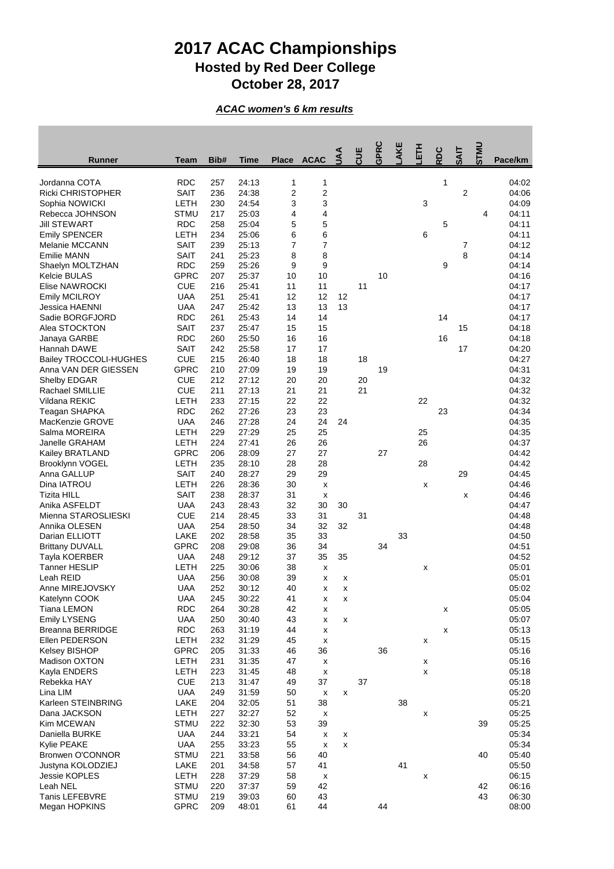## **2017 ACAC Championships Hosted by Red Deer College October 28, 2017**

## *ACAC women's 6 km results*

| Runner                                  | Team                     | Bib#       | Time           | <b>Place</b>   | <b>ACAC</b>    | ই  | <b>UU</b> | GPRC | AKE | 舌  | RDC | <b>SAIT</b> | STMU | Pace/km        |
|-----------------------------------------|--------------------------|------------|----------------|----------------|----------------|----|-----------|------|-----|----|-----|-------------|------|----------------|
| Jordanna COTA                           | <b>RDC</b>               | 257        | 24:13          | 1              | 1              |    |           |      |     |    | 1   |             |      | 04:02          |
| <b>Ricki CHRISTOPHER</b>                | SAIT                     | 236        | 24:38          | $\overline{2}$ | $\overline{2}$ |    |           |      |     |    |     | 2           |      | 04:06          |
| Sophia NOWICKI                          | LETH                     | 230        | 24:54          | 3              | 3              |    |           |      |     | 3  |     |             |      | 04:09          |
| Rebecca JOHNSON                         | <b>STMU</b>              | 217        | 25:03          | 4              | 4              |    |           |      |     |    |     |             | 4    | 04:11          |
| <b>Jill STEWART</b>                     | <b>RDC</b>               | 258        | 25:04          | 5              | 5              |    |           |      |     |    | 5   |             |      | 04:11          |
| <b>Emily SPENCER</b>                    | LETH                     | 234        | 25:06          | 6              | 6              |    |           |      |     | 6  |     |             |      | 04:11          |
| <b>Melanie MCCANN</b>                   | <b>SAIT</b>              | 239        | 25:13          | 7              | 7              |    |           |      |     |    |     | 7           |      | 04:12          |
| <b>Emilie MANN</b>                      | SAIT<br><b>RDC</b>       | 241        | 25:23<br>25:26 | 8              | 8              |    |           |      |     |    | 9   | 8           |      | 04:14          |
| Shaelyn MOLTZHAN<br>Kelcie BULAS        | <b>GPRC</b>              | 259<br>207 | 25:37          | 9<br>10        | 9<br>10        |    |           | 10   |     |    |     |             |      | 04:14<br>04:16 |
| Elise NAWROCKI                          | <b>CUE</b>               | 216        | 25:41          | 11             | 11             |    | 11        |      |     |    |     |             |      | 04:17          |
| <b>Emily MCILROY</b>                    | <b>UAA</b>               | 251        | 25:41          | 12             | 12             | 12 |           |      |     |    |     |             |      | 04:17          |
| Jessica HAENNI                          | <b>UAA</b>               | 247        | 25:42          | 13             | 13             | 13 |           |      |     |    |     |             |      | 04:17          |
| Sadie BORGFJORD                         | <b>RDC</b>               | 261        | 25:43          | 14             | 14             |    |           |      |     |    | 14  |             |      | 04:17          |
| Alea STOCKTON                           | SAIT                     | 237        | 25:47          | 15             | 15             |    |           |      |     |    |     | 15          |      | 04:18          |
| Janaya GARBE                            | RDC                      | 260        | 25:50          | 16             | 16             |    |           |      |     |    | 16  |             |      | 04:18          |
| Hannah DAWE                             | SAIT                     | 242        | 25:58          | 17             | 17             |    |           |      |     |    |     | 17          |      | 04:20          |
| <b>Bailey TROCCOLI-HUGHES</b>           | <b>CUE</b>               | 215        | 26:40          | 18             | 18             |    | 18        |      |     |    |     |             |      | 04:27          |
| Anna VAN DER GIESSEN                    | <b>GPRC</b>              | 210        | 27:09          | 19             | 19             |    |           | 19   |     |    |     |             |      | 04:31          |
| Shelby EDGAR                            | <b>CUE</b>               | 212        | 27:12          | 20             | 20             |    | 20        |      |     |    |     |             |      | 04:32          |
| Rachael SMILLIE<br>Vildana REKIC        | <b>CUE</b><br>LETH       | 211<br>233 | 27:13<br>27:15 | 21<br>22       | 21<br>22       |    | 21        |      |     | 22 |     |             |      | 04:32<br>04:32 |
| Teagan SHAPKA                           | <b>RDC</b>               | 262        | 27:26          | 23             | 23             |    |           |      |     |    | 23  |             |      | 04:34          |
| MacKenzie GROVE                         | <b>UAA</b>               | 246        | 27:28          | 24             | 24             | 24 |           |      |     |    |     |             |      | 04:35          |
| Salma MOREIRA                           | LETH                     | 229        | 27:29          | 25             | 25             |    |           |      |     | 25 |     |             |      | 04:35          |
| Janelle GRAHAM                          | LETH                     | 224        | 27:41          | 26             | 26             |    |           |      |     | 26 |     |             |      | 04:37          |
| <b>Kailey BRATLAND</b>                  | <b>GPRC</b>              | 206        | 28:09          | 27             | 27             |    |           | 27   |     |    |     |             |      | 04:42          |
| <b>Brooklynn VOGEL</b>                  | LETH                     | 235        | 28:10          | 28             | 28             |    |           |      |     | 28 |     |             |      | 04:42          |
| Anna GALLUP                             | <b>SAIT</b>              | 240        | 28:27          | 29             | 29             |    |           |      |     |    |     | 29          |      | 04:45          |
| Dina IATROU                             | LETH                     | 226        | 28:36          | 30             | X              |    |           |      |     | х  |     |             |      | 04:46          |
| Tizita HILL                             | <b>SAIT</b>              | 238        | 28:37          | 31             | x              |    |           |      |     |    |     | х           |      | 04:46          |
| Anika ASFELDT                           | <b>UAA</b>               | 243        | 28:43          | 32             | 30             | 30 |           |      |     |    |     |             |      | 04:47          |
| Mienna STAROSLIESKI                     | <b>CUE</b>               | 214        | 28:45          | 33             | 31             |    | 31        |      |     |    |     |             |      | 04:48          |
| Annika OLESEN                           | <b>UAA</b>               | 254        | 28:50          | 34             | 32             | 32 |           |      |     |    |     |             |      | 04:48          |
| Darian ELLIOTT                          | LAKE<br><b>GPRC</b>      | 202<br>208 | 28:58<br>29:08 | 35<br>36       | 33<br>34       |    |           | 34   | 33  |    |     |             |      | 04:50<br>04:51 |
| <b>Brittany DUVALL</b><br>Tayla KOERBER | <b>UAA</b>               | 248        | 29:12          | 37             | 35             | 35 |           |      |     |    |     |             |      | 04:52          |
| Tanner HESLIP                           | LETH                     | 225        | 30:06          | 38             | x              |    |           |      |     | x  |     |             |      | 05:01          |
| Leah REID                               | UAA                      | 256        | 30:08          | 39             | x              | x  |           |      |     |    |     |             |      | 05:01          |
| Anne MIREJOVSKY                         | <b>UAA</b>               | 252        | 30:12          | 40             | x              | x  |           |      |     |    |     |             |      | 05:02          |
| Katelynn COOK                           | UAA                      | 245        | 30:22          | 41             | X              | X  |           |      |     |    |     |             |      | 05:04          |
| Tiana LEMON                             | <b>RDC</b>               | 264        | 30:28          | 42             | X              |    |           |      |     |    | х   |             |      | 05:05          |
| <b>Emily LYSENG</b>                     | <b>UAA</b>               | 250        | 30:40          | 43             | x              | X  |           |      |     |    |     |             |      | 05:07          |
| Breanna BERRIDGE                        | <b>RDC</b>               | 263        | 31:19          | 44             | x              |    |           |      |     |    | X   |             |      | 05:13          |
| Ellen PEDERSON                          | LETH                     | 232        | 31:29          | 45             | x              |    |           |      |     | x  |     |             |      | 05:15          |
| Kelsey BISHOP                           | <b>GPRC</b>              | 205        | 31:33          | 46             | 36             |    |           | 36   |     |    |     |             |      | 05:16          |
| Madison OXTON                           | LETH                     | 231        | 31:35          | 47             | x              |    |           |      |     | х  |     |             |      | 05:16          |
| Kayla ENDERS                            | LETH                     | 223        | 31:45          | 48             | x              |    |           |      |     | x  |     |             |      | 05:18          |
| Rebekka HAY<br>Lina LIM                 | <b>CUE</b><br><b>UAA</b> | 213<br>249 | 31:47<br>31:59 | 49<br>50       | 37<br>x        | x  | 37        |      |     |    |     |             |      | 05:18<br>05:20 |
| Karleen STEINBRING                      | LAKE                     | 204        | 32:05          | 51             | 38             |    |           |      | 38  |    |     |             |      | 05:21          |
| Dana JACKSON                            | LETH                     | 227        | 32:27          | 52             | X              |    |           |      |     | X  |     |             |      | 05:25          |
| Kim MCEWAN                              | <b>STMU</b>              | 222        | 32:30          | 53             | 39             |    |           |      |     |    |     |             | 39   | 05:25          |
| Daniella BURKE                          | <b>UAA</b>               | 244        | 33:21          | 54             | x              | х  |           |      |     |    |     |             |      | 05:34          |
| Kylie PEAKE                             | <b>UAA</b>               | 255        | 33:23          | 55             | х              | x  |           |      |     |    |     |             |      | 05:34          |
| Bronwen O'CONNOR                        | <b>STMU</b>              | 221        | 33:58          | 56             | 40             |    |           |      |     |    |     |             | 40   | 05:40          |
| Justyna KOLODZIEJ                       | LAKE                     | 201        | 34:58          | 57             | 41             |    |           |      | 41  |    |     |             |      | 05:50          |
| Jessie KOPLES                           | LETH                     | 228        | 37:29          | 58             | X              |    |           |      |     | X  |     |             |      | 06:15          |
| Leah NEL                                | <b>STMU</b>              | 220        | 37:37          | 59             | 42             |    |           |      |     |    |     |             | 42   | 06:16          |
| Tanis LEFEBVRE                          | <b>STMU</b>              | 219        | 39:03          | 60             | 43             |    |           |      |     |    |     |             | 43   | 06:30          |
| Megan HOPKINS                           | <b>GPRC</b>              | 209        | 48:01          | 61             | 44             |    |           | 44   |     |    |     |             |      | 08:00          |